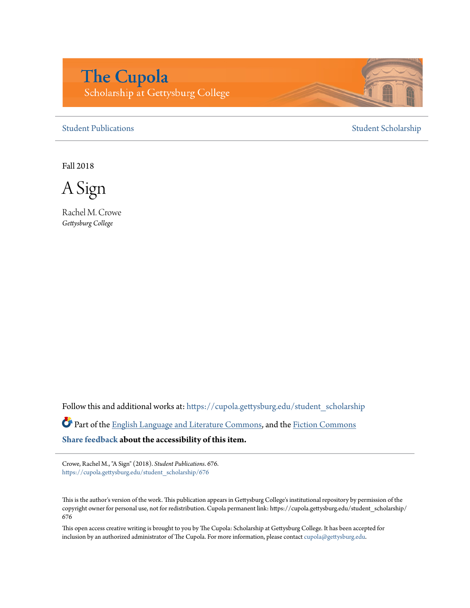## **The Cupola** Scholarship at Gettysburg College

[Student Publications](https://cupola.gettysburg.edu/student_scholarship?utm_source=cupola.gettysburg.edu%2Fstudent_scholarship%2F676&utm_medium=PDF&utm_campaign=PDFCoverPages) [Student Scholarship](https://cupola.gettysburg.edu/student?utm_source=cupola.gettysburg.edu%2Fstudent_scholarship%2F676&utm_medium=PDF&utm_campaign=PDFCoverPages)

Fall 2018

A Sign

Rachel M. Crowe *Gettysburg College*

Follow this and additional works at: [https://cupola.gettysburg.edu/student\\_scholarship](https://cupola.gettysburg.edu/student_scholarship?utm_source=cupola.gettysburg.edu%2Fstudent_scholarship%2F676&utm_medium=PDF&utm_campaign=PDFCoverPages)

Part of the [English Language and Literature Commons](http://network.bepress.com/hgg/discipline/455?utm_source=cupola.gettysburg.edu%2Fstudent_scholarship%2F676&utm_medium=PDF&utm_campaign=PDFCoverPages), and the [Fiction Commons](http://network.bepress.com/hgg/discipline/1151?utm_source=cupola.gettysburg.edu%2Fstudent_scholarship%2F676&utm_medium=PDF&utm_campaign=PDFCoverPages) **[Share feedback](https://docs.google.com/a/bepress.com/forms/d/1h9eEcpBPj5POs5oO6Y5A0blXRmZqykoonyYiZUNyEq8/viewform) about the accessibility of this item.**

Crowe, Rachel M., "A Sign" (2018). *Student Publications*. 676. [https://cupola.gettysburg.edu/student\\_scholarship/676](https://cupola.gettysburg.edu/student_scholarship/676?utm_source=cupola.gettysburg.edu%2Fstudent_scholarship%2F676&utm_medium=PDF&utm_campaign=PDFCoverPages)

This is the author's version of the work. This publication appears in Gettysburg College's institutional repository by permission of the copyright owner for personal use, not for redistribution. Cupola permanent link: https://cupola.gettysburg.edu/student\_scholarship/ 676

This open access creative writing is brought to you by The Cupola: Scholarship at Gettysburg College. It has been accepted for inclusion by an authorized administrator of The Cupola. For more information, please contact [cupola@gettysburg.edu.](mailto:cupola@gettysburg.edu)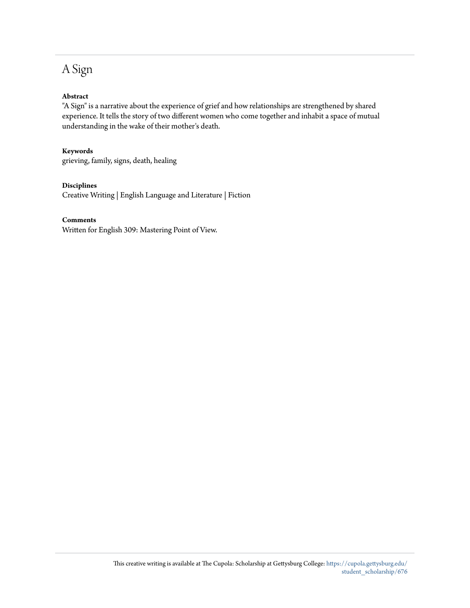### A Sign

#### **Abstract**

"A Sign" is a narrative about the experience of grief and how relationships are strengthened by shared experience. It tells the story of two different women who come together and inhabit a space of mutual understanding in the wake of their mother's death.

#### **Keywords**

grieving, family, signs, death, healing

#### **Disciplines**

Creative Writing | English Language and Literature | Fiction

#### **Comments**

Written for English 309: Mastering Point of View.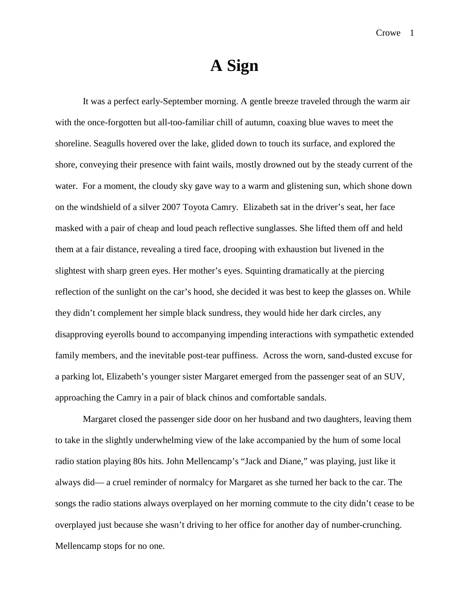# **A Sign**

It was a perfect early-September morning. A gentle breeze traveled through the warm air with the once-forgotten but all-too-familiar chill of autumn, coaxing blue waves to meet the shoreline. Seagulls hovered over the lake, glided down to touch its surface, and explored the shore, conveying their presence with faint wails, mostly drowned out by the steady current of the water. For a moment, the cloudy sky gave way to a warm and glistening sun, which shone down on the windshield of a silver 2007 Toyota Camry. Elizabeth sat in the driver's seat, her face masked with a pair of cheap and loud peach reflective sunglasses. She lifted them off and held them at a fair distance, revealing a tired face, drooping with exhaustion but livened in the slightest with sharp green eyes. Her mother's eyes. Squinting dramatically at the piercing reflection of the sunlight on the car's hood, she decided it was best to keep the glasses on. While they didn't complement her simple black sundress, they would hide her dark circles, any disapproving eyerolls bound to accompanying impending interactions with sympathetic extended family members, and the inevitable post-tear puffiness. Across the worn, sand-dusted excuse for a parking lot, Elizabeth's younger sister Margaret emerged from the passenger seat of an SUV, approaching the Camry in a pair of black chinos and comfortable sandals.

Margaret closed the passenger side door on her husband and two daughters, leaving them to take in the slightly underwhelming view of the lake accompanied by the hum of some local radio station playing 80s hits. John Mellencamp's "Jack and Diane," was playing, just like it always did— a cruel reminder of normalcy for Margaret as she turned her back to the car. The songs the radio stations always overplayed on her morning commute to the city didn't cease to be overplayed just because she wasn't driving to her office for another day of number-crunching. Mellencamp stops for no one.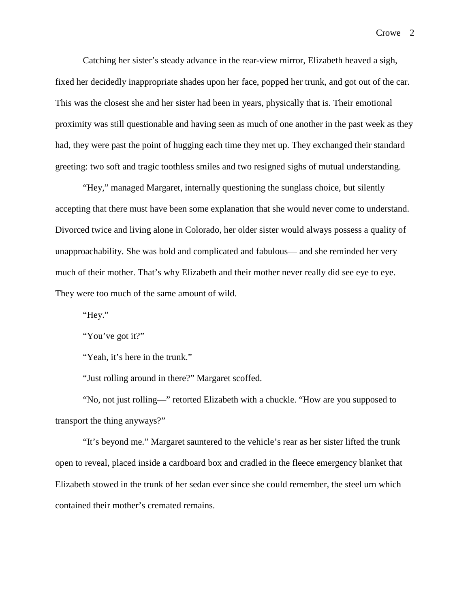Catching her sister's steady advance in the rear-view mirror, Elizabeth heaved a sigh, fixed her decidedly inappropriate shades upon her face, popped her trunk, and got out of the car. This was the closest she and her sister had been in years, physically that is. Their emotional proximity was still questionable and having seen as much of one another in the past week as they had, they were past the point of hugging each time they met up. They exchanged their standard greeting: two soft and tragic toothless smiles and two resigned sighs of mutual understanding.

"Hey," managed Margaret, internally questioning the sunglass choice, but silently accepting that there must have been some explanation that she would never come to understand. Divorced twice and living alone in Colorado, her older sister would always possess a quality of unapproachability. She was bold and complicated and fabulous— and she reminded her very much of their mother. That's why Elizabeth and their mother never really did see eye to eye. They were too much of the same amount of wild.

"Hey."

"You've got it?"

"Yeah, it's here in the trunk."

"Just rolling around in there?" Margaret scoffed.

"No, not just rolling—" retorted Elizabeth with a chuckle. "How are you supposed to transport the thing anyways?"

"It's beyond me." Margaret sauntered to the vehicle's rear as her sister lifted the trunk open to reveal, placed inside a cardboard box and cradled in the fleece emergency blanket that Elizabeth stowed in the trunk of her sedan ever since she could remember, the steel urn which contained their mother's cremated remains.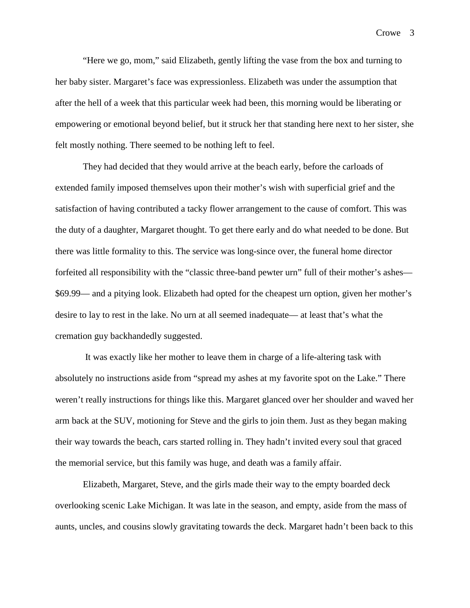Crowe 3

"Here we go, mom," said Elizabeth, gently lifting the vase from the box and turning to her baby sister. Margaret's face was expressionless. Elizabeth was under the assumption that after the hell of a week that this particular week had been, this morning would be liberating or empowering or emotional beyond belief, but it struck her that standing here next to her sister, she felt mostly nothing. There seemed to be nothing left to feel.

They had decided that they would arrive at the beach early, before the carloads of extended family imposed themselves upon their mother's wish with superficial grief and the satisfaction of having contributed a tacky flower arrangement to the cause of comfort. This was the duty of a daughter, Margaret thought. To get there early and do what needed to be done. But there was little formality to this. The service was long-since over, the funeral home director forfeited all responsibility with the "classic three-band pewter urn" full of their mother's ashes— \$69.99— and a pitying look. Elizabeth had opted for the cheapest urn option, given her mother's desire to lay to rest in the lake. No urn at all seemed inadequate— at least that's what the cremation guy backhandedly suggested.

It was exactly like her mother to leave them in charge of a life-altering task with absolutely no instructions aside from "spread my ashes at my favorite spot on the Lake." There weren't really instructions for things like this. Margaret glanced over her shoulder and waved her arm back at the SUV, motioning for Steve and the girls to join them. Just as they began making their way towards the beach, cars started rolling in. They hadn't invited every soul that graced the memorial service, but this family was huge, and death was a family affair.

Elizabeth, Margaret, Steve, and the girls made their way to the empty boarded deck overlooking scenic Lake Michigan. It was late in the season, and empty, aside from the mass of aunts, uncles, and cousins slowly gravitating towards the deck. Margaret hadn't been back to this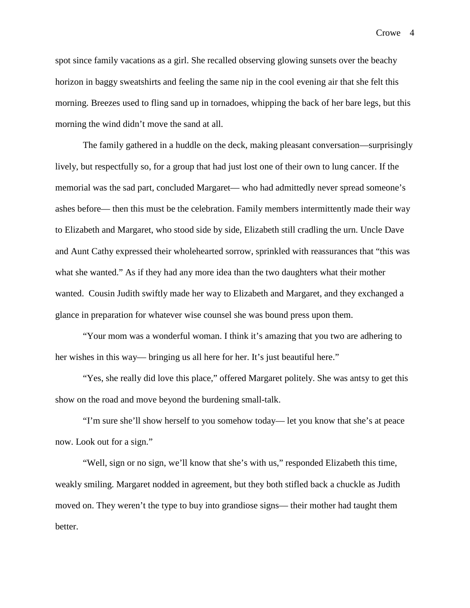Crowe 4

spot since family vacations as a girl. She recalled observing glowing sunsets over the beachy horizon in baggy sweatshirts and feeling the same nip in the cool evening air that she felt this morning. Breezes used to fling sand up in tornadoes, whipping the back of her bare legs, but this morning the wind didn't move the sand at all.

The family gathered in a huddle on the deck, making pleasant conversation—surprisingly lively, but respectfully so, for a group that had just lost one of their own to lung cancer. If the memorial was the sad part, concluded Margaret— who had admittedly never spread someone's ashes before— then this must be the celebration. Family members intermittently made their way to Elizabeth and Margaret, who stood side by side, Elizabeth still cradling the urn. Uncle Dave and Aunt Cathy expressed their wholehearted sorrow, sprinkled with reassurances that "this was what she wanted." As if they had any more idea than the two daughters what their mother wanted. Cousin Judith swiftly made her way to Elizabeth and Margaret, and they exchanged a glance in preparation for whatever wise counsel she was bound press upon them.

"Your mom was a wonderful woman. I think it's amazing that you two are adhering to her wishes in this way— bringing us all here for her. It's just beautiful here."

"Yes, she really did love this place," offered Margaret politely. She was antsy to get this show on the road and move beyond the burdening small-talk.

"I'm sure she'll show herself to you somehow today— let you know that she's at peace now. Look out for a sign."

"Well, sign or no sign, we'll know that she's with us," responded Elizabeth this time, weakly smiling. Margaret nodded in agreement, but they both stifled back a chuckle as Judith moved on. They weren't the type to buy into grandiose signs— their mother had taught them better.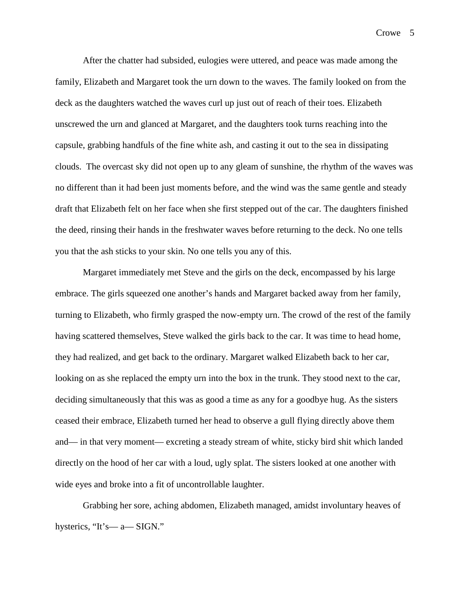Crowe 5

After the chatter had subsided, eulogies were uttered, and peace was made among the family, Elizabeth and Margaret took the urn down to the waves. The family looked on from the deck as the daughters watched the waves curl up just out of reach of their toes. Elizabeth unscrewed the urn and glanced at Margaret, and the daughters took turns reaching into the capsule, grabbing handfuls of the fine white ash, and casting it out to the sea in dissipating clouds. The overcast sky did not open up to any gleam of sunshine, the rhythm of the waves was no different than it had been just moments before, and the wind was the same gentle and steady draft that Elizabeth felt on her face when she first stepped out of the car. The daughters finished the deed, rinsing their hands in the freshwater waves before returning to the deck. No one tells you that the ash sticks to your skin. No one tells you any of this.

Margaret immediately met Steve and the girls on the deck, encompassed by his large embrace. The girls squeezed one another's hands and Margaret backed away from her family, turning to Elizabeth, who firmly grasped the now-empty urn. The crowd of the rest of the family having scattered themselves, Steve walked the girls back to the car. It was time to head home, they had realized, and get back to the ordinary. Margaret walked Elizabeth back to her car, looking on as she replaced the empty urn into the box in the trunk. They stood next to the car, deciding simultaneously that this was as good a time as any for a goodbye hug. As the sisters ceased their embrace, Elizabeth turned her head to observe a gull flying directly above them and— in that very moment— excreting a steady stream of white, sticky bird shit which landed directly on the hood of her car with a loud, ugly splat. The sisters looked at one another with wide eyes and broke into a fit of uncontrollable laughter.

Grabbing her sore, aching abdomen, Elizabeth managed, amidst involuntary heaves of hysterics, "It's— a— SIGN."